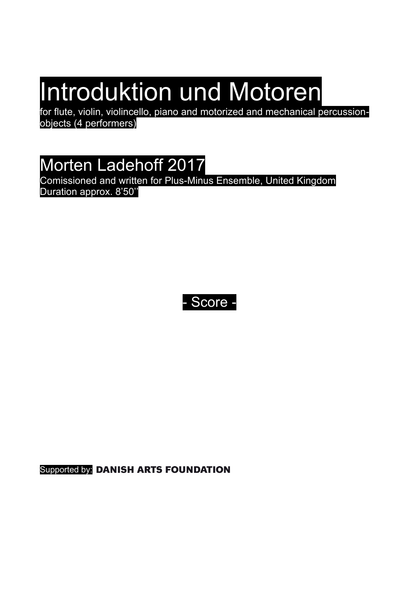# Introduktion und Motoren

for flute, violin, violincello, piano and motorized and mechanical percussionobjects (4 performers)

### Morten Ladehoff 2017

Comissioned and written for Plus-Minus Ensemble, United Kingdom Duration approx. 8'50''



**Supported by: DANISH ARTS FOUNDATION**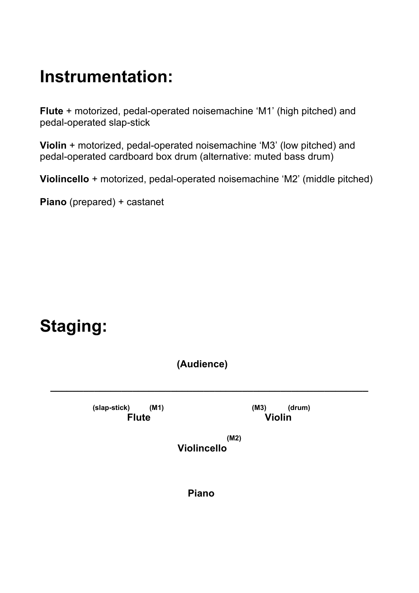## **Instrumentation:**

**Flute** + motorized, pedal-operated noisemachine 'M1' (high pitched) and pedal-operated slap-stick

**Violin** + motorized, pedal-operated noisemachine 'M3' (low pitched) and pedal-operated cardboard box drum (alternative: muted bass drum)

**Violincello** + motorized, pedal-operated noisemachine 'M2' (middle pitched)

**Piano** (prepared) + castanet

### **Staging:**

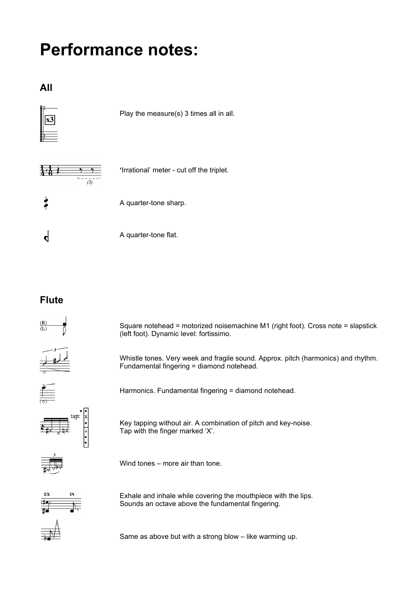# **Performance notes:**

**All**



**Flute**

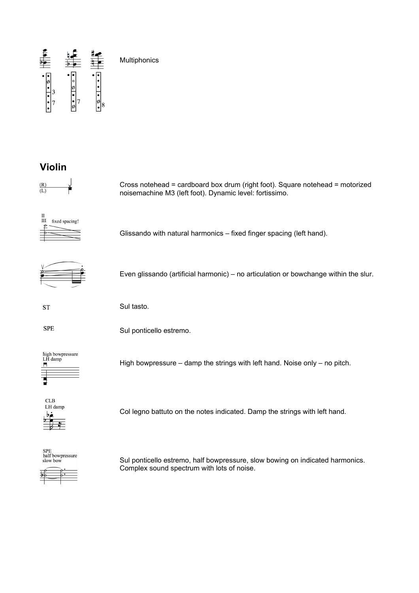

### **Violin**

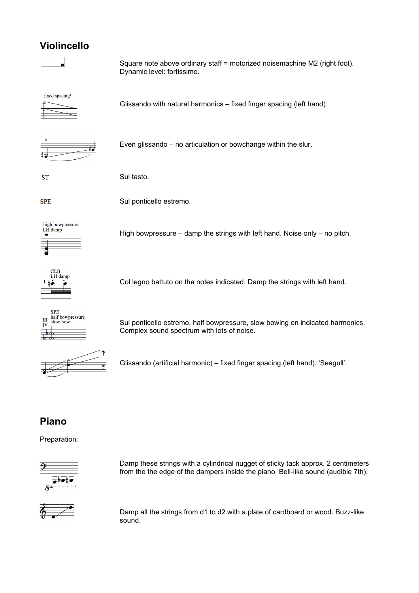#### **Violincello**



Glissando (artificial harmonic) – fixed finger spacing (left hand). 'Seagull'.

### **Piano**

#### Preparation:



Damp these strings with a cylindrical nugget of sticky tack approx. 2 centimeters from the the edge of the dampers inside the piano. Bell-like sound (audible 7th).

Damp all the strings from d1 to d2 with a plate of cardboard or wood. Buzz-like sound.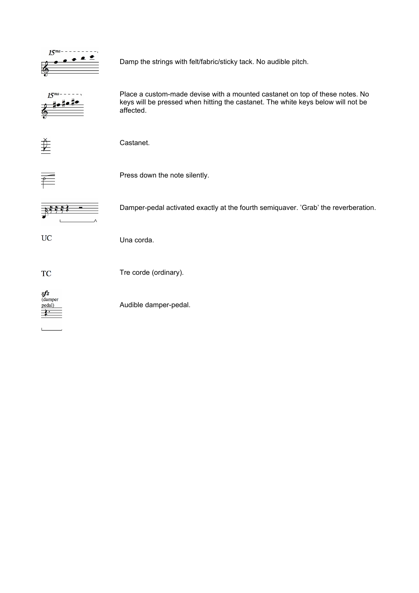

Damp the strings with felt/fabric/sticky tack. No audible pitch.



Place a custom-made devise with a mounted castanet on top of these notes. No keys will be pressed when hitting the castanet. The white keys below will not be affected.



Castanet.



Press down the note silently.



Damper-pedal activated exactly at the fourth semiquaver. 'Grab' the reverberation.



Tre corde (ordinary).

| sťż     |  |
|---------|--|
| (damper |  |
| pedal)  |  |
|         |  |
|         |  |

 $\overline{\phantom{a}}$ 

**TC** 

Audible damper-pedal.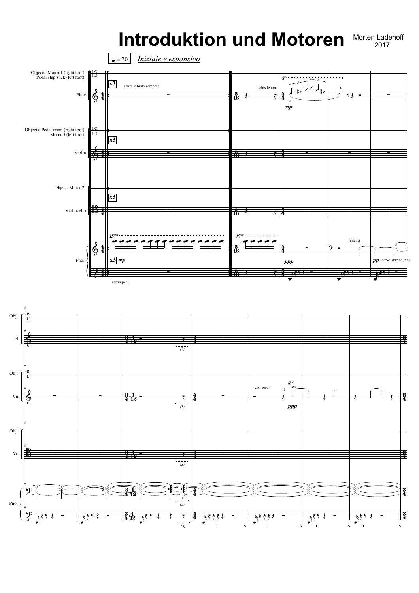#### **Introduktion und Motoren** Morten Ladehoff

2017



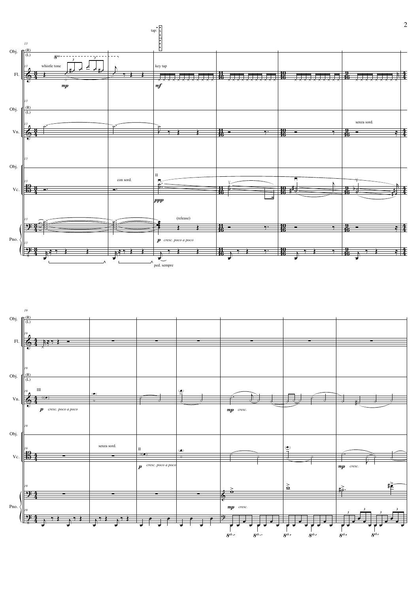

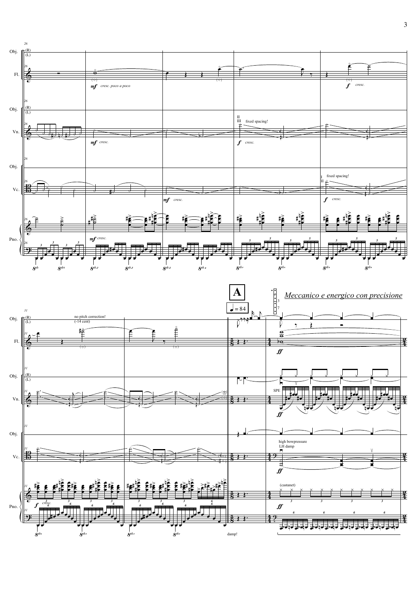

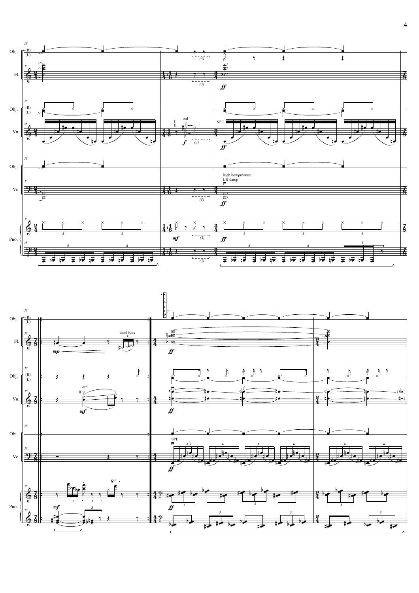

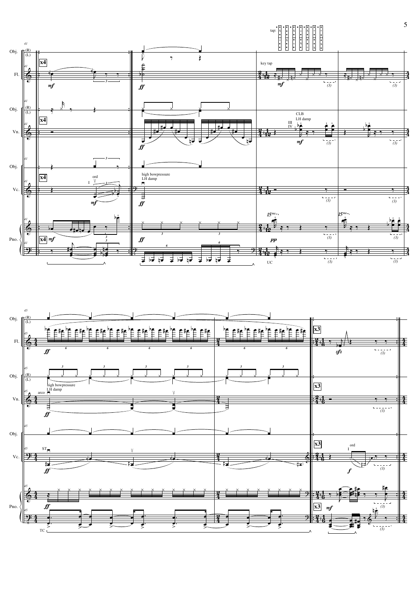

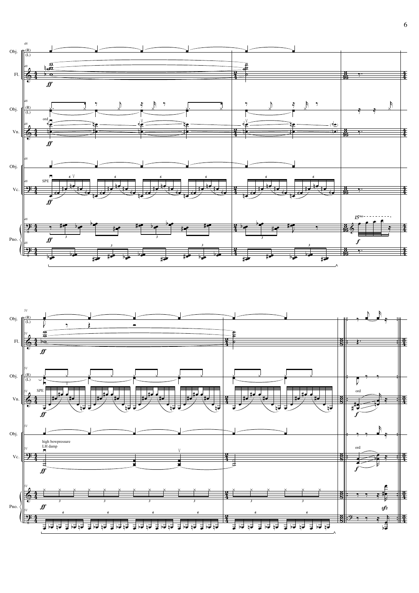



 $\sqrt{6}$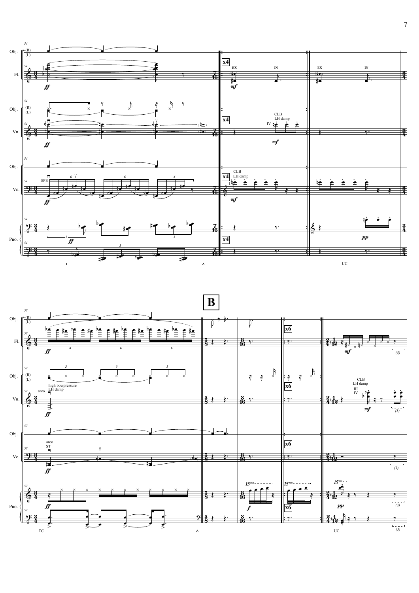



 $\overline{7}$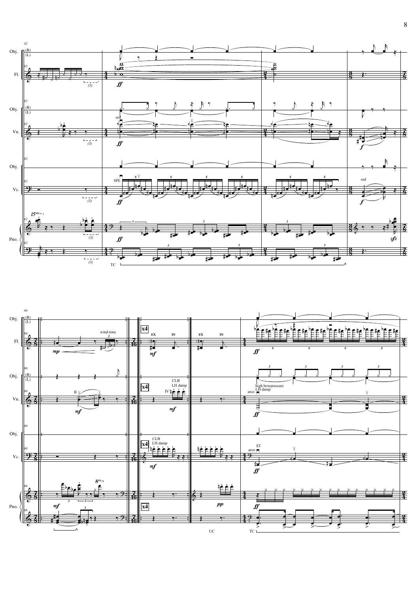

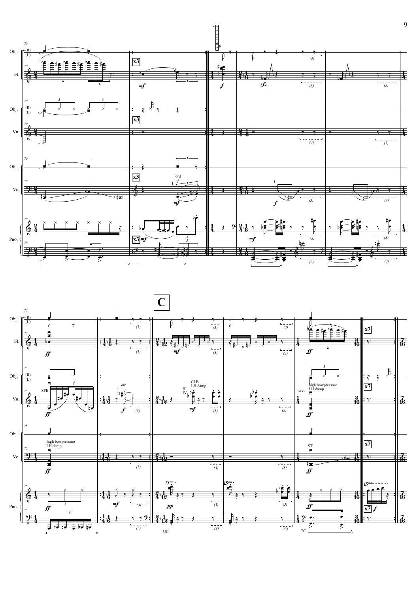

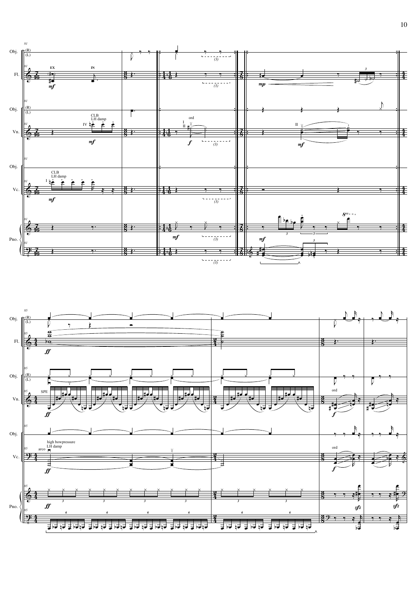

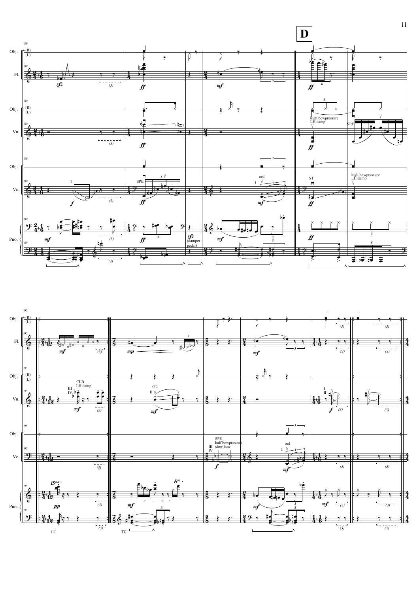



 $11\,$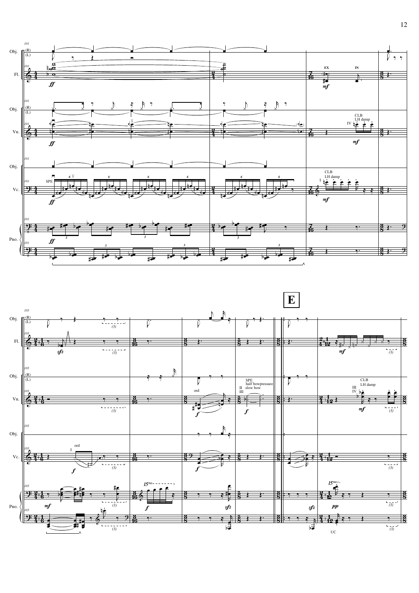

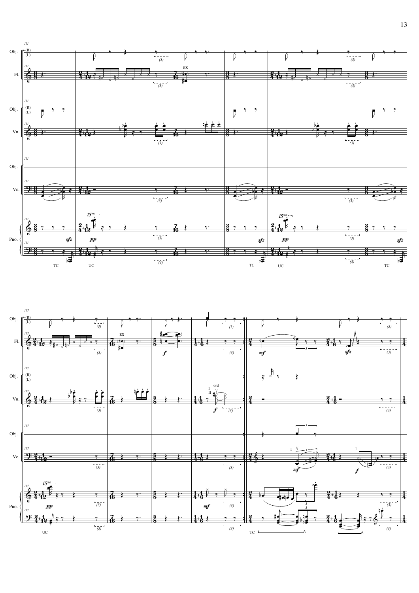

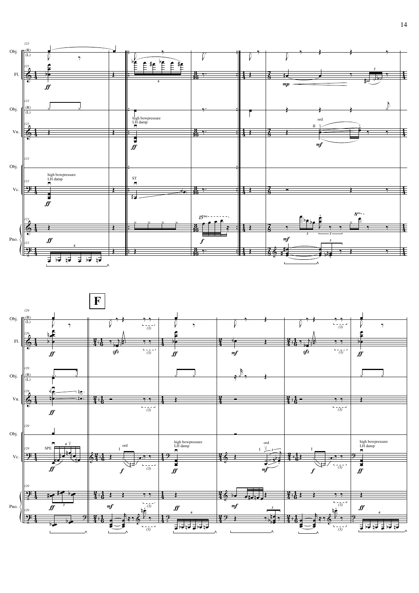

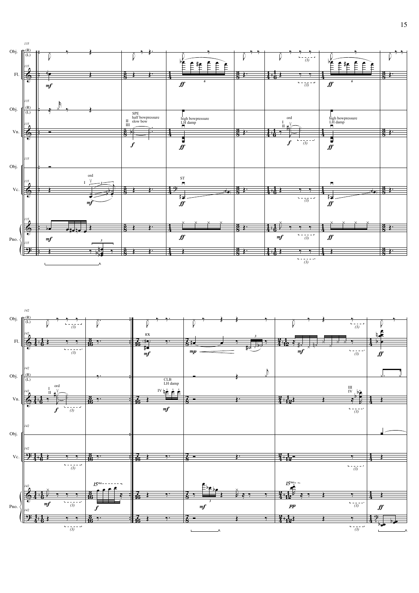

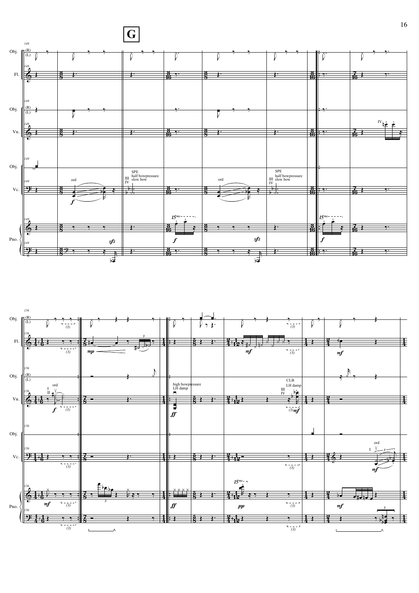

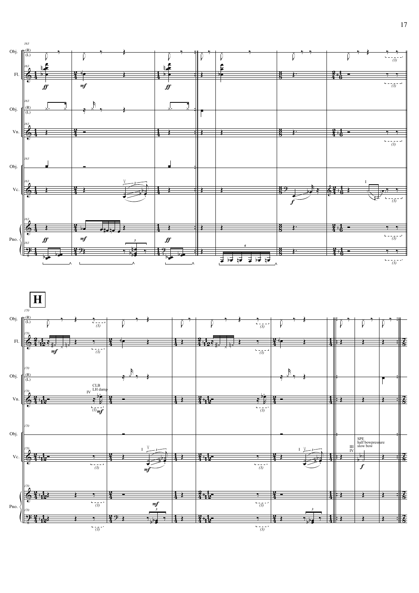

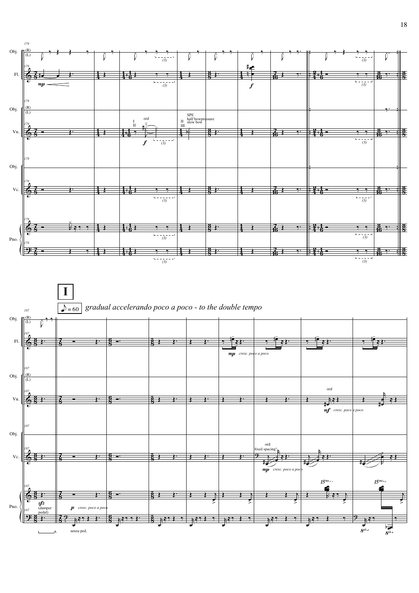![](_page_23_Figure_0.jpeg)

![](_page_23_Figure_1.jpeg)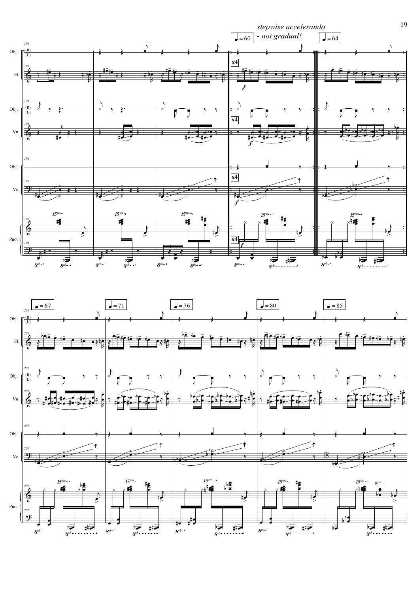![](_page_24_Figure_0.jpeg)

![](_page_24_Figure_1.jpeg)